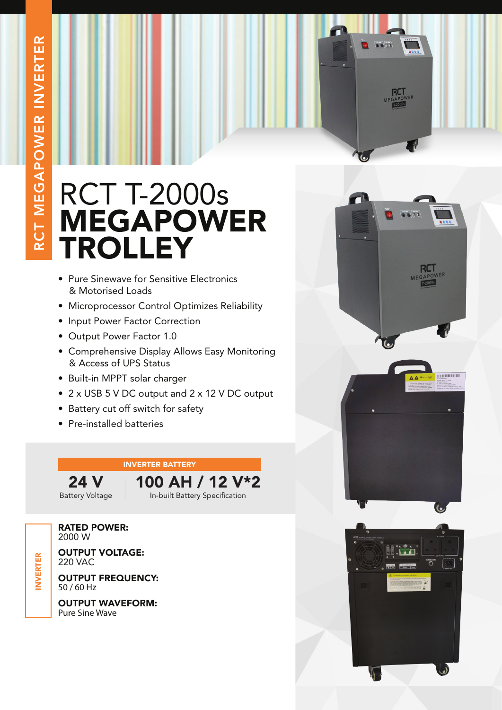

- Pure Sinewave for Sensitive Electronics & Motorised Loads
- Microprocessor Control Optimizes Reliability
- Input Power Factor Correction
- Output Power Factor 1.0
- Comprehensive Display Allows Easy Monitoring & Access of UPS Status
- Built-in MPPT solar charger
- 2 x USB 5 V DC output and 2 x 12 V DC output
- Battery cut off switch for safety
- Pre-installed batteries

## INVERTER BATTERY

24 V Battery Voltage 100 AH / 12 V\*2 In-built Battery Specification

RATED POWER: 2000 W Ī

OUTPUT VOLTAGE: 220 VAC

OUTPUT FREQUENCY: 50 / 60 Hz

OUTPUT WAVEFORM: Pure Sine Wave